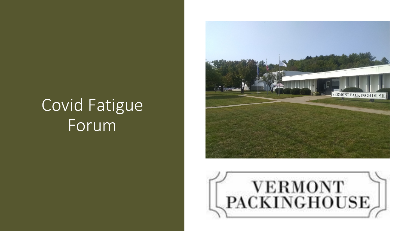# Covid Fatigue Forum



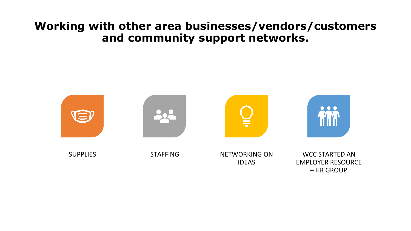## **Working with other area businesses/vendors/customers and community support networks.**

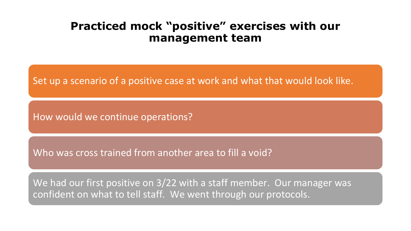## **Practiced mock "positive" exercises with our management team**

Set up a scenario of a positive case at work and what that would look like.

How would we continue operations?

Who was cross trained from another area to fill a void?

We had our first positive on 3/22 with a staff member. Our manager was confident on what to tell staff. We went through our protocols.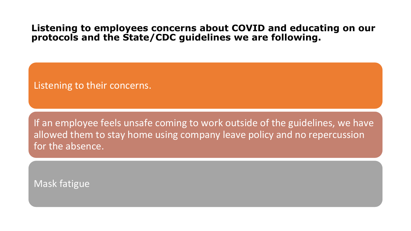## **Listening to employees concerns about COVID and educating on our protocols and the State/CDC guidelines we are following.**

Listening to their concerns.

If an employee feels unsafe coming to work outside of the guidelines, we have allowed them to stay home using company leave policy and no repercussion for the absence.

Mask fatigue